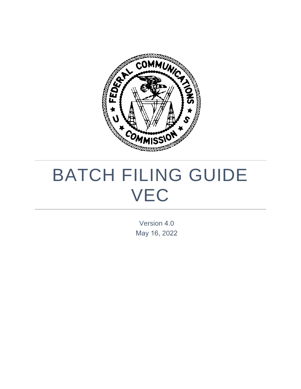

# BATCH FILING GUIDE VEC

Version 4.0 May 16, 2022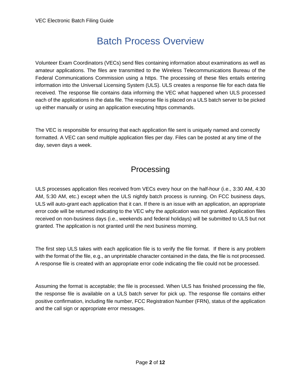## Batch Process Overview

Volunteer Exam Coordinators (VECs) send files containing information about examinations as well as amateur applications. The files are transmitted to the Wireless Telecommunications Bureau of the Federal Communications Commission using a https. The processing of these files entails entering information into the Universal Licensing System (ULS). ULS creates a response file for each data file received. The response file contains data informing the VEC what happened when ULS processed each of the applications in the data file. The response file is placed on a ULS batch server to be picked up either manually or using an application executing https commands.

The VEC is responsible for ensuring that each application file sent is uniquely named and correctly formatted. A VEC can send multiple application files per day. Files can be posted at any time of the day, seven days a week.

#### Processing

ULS processes application files received from VECs every hour on the half-hour (i.e., 3:30 AM, 4:30 AM, 5:30 AM, etc.) except when the ULS nightly batch process is running. On FCC business days, ULS will auto-grant each application that it can. If there is an issue with an application, an appropriate error code will be returned indicating to the VEC why the application was not granted. Application files received on non-business days (i.e., weekends and federal holidays) will be submitted to ULS but not granted. The application is not granted until the next business morning.

The first step ULS takes with each application file is to verify the file format. If there is any problem with the format of the file, e.g., an unprintable character contained in the data, the file is not processed. A response file is created with an appropriate error code indicating the file could not be processed.

Assuming the format is acceptable; the file is processed. When ULS has finished processing the file, the response file is available on a ULS batch server for pick up. The response file contains either positive confirmation, including file number, FCC Registration Number (FRN), status of the application and the call sign or appropriate error messages.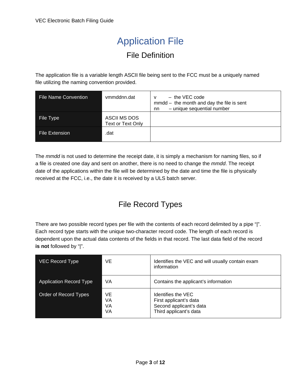# Application File

#### File Definition

The application file is a variable length ASCII file being sent to the FCC must be a uniquely named file utilizing the naming convention provided.

| <b>File Name Convention</b> | vmmddnn.dat                       | $-$ the VEC code<br>v<br>$mmdd$ – the month and day the file is sent<br>- unique sequential number<br>nn |
|-----------------------------|-----------------------------------|----------------------------------------------------------------------------------------------------------|
| File Type                   | ASCII MS DOS<br>Text or Text Only |                                                                                                          |
| <b>File Extension</b>       | .dat                              |                                                                                                          |

The *mmdd* is not used to determine the receipt date, it is simply a mechanism for naming files, so if a file is created one day and sent on another, there is no need to change the *mmdd*. The receipt date of the applications within the file will be determined by the date and time the file is physically received at the FCC, i.e., the date it is received by a ULS batch server.

## File Record Types

There are two possible record types per file with the contents of each record delimited by a pipe "|". Each record type starts with the unique two-character record code. The length of each record is dependent upon the actual data contents of the fields in that record. The last data field of the record **is not** followed by "|".

| VEC Record Type                | VE                   | Identifies the VEC and will usually contain exam<br>information                                   |
|--------------------------------|----------------------|---------------------------------------------------------------------------------------------------|
| <b>Application Record Type</b> | VA                   | Contains the applicant's information                                                              |
| Order of Record Types          | VE<br>VA<br>VA<br>VA | Identifies the VEC<br>First applicant's data<br>Second applicant's data<br>Third applicant's data |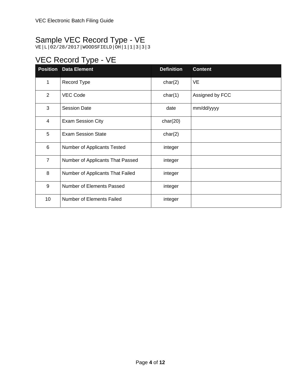## Sample VEC Record Type - VE

VE|L|02/28/2017|WOODSFIELD|OH|1|1|3|3|3

## VEC Record Type - VE

|                | <b>Position Data Element</b>     | <b>Definition</b> | <b>Content</b>  |
|----------------|----------------------------------|-------------------|-----------------|
| 1              | Record Type                      | char(2)           | <b>VE</b>       |
| $\overline{2}$ | <b>VEC Code</b>                  | char(1)           | Assigned by FCC |
| 3              | <b>Session Date</b>              | date              | mm/dd/yyyy      |
| 4              | <b>Exam Session City</b>         | char(20)          |                 |
| 5              | <b>Exam Session State</b>        | char(2)           |                 |
| 6              | Number of Applicants Tested      | integer           |                 |
| $\overline{7}$ | Number of Applicants That Passed | integer           |                 |
| 8              | Number of Applicants That Failed | integer           |                 |
| 9              | Number of Elements Passed        | integer           |                 |
| 10             | Number of Elements Failed        | integer           |                 |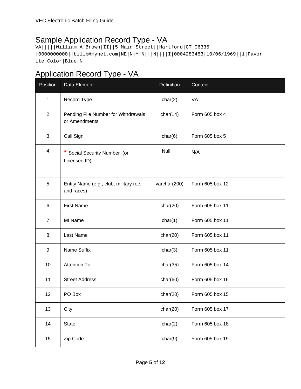#### Sample Application Record Type - VA

VA|||||William|A|Brown|II||5 Main Street||Hartford|CT|06335 |0000000000||billb@mynet.com|NE|N|Y|N|||N||||I|0004283453|10/06/1969||1|Favor ite Color|Blue|N

#### Application Record Type - VA

| Position       | Data Element                                         | Definition   | Content         |
|----------------|------------------------------------------------------|--------------|-----------------|
| 1              | Record Type                                          | char(2)      | VA              |
| 2              | Pending File Number for Withdrawals<br>or Amendments | char(14)     | Form 605 box 4  |
| 3              | Call Sign                                            | char(6)      | Form 605 box 5  |
| $\overline{4}$ | Social Security Number (or<br>Licensee ID)           | Null         | N/A             |
| 5              | Entity Name (e.g., club, military rec,<br>and races) | varchar(200) | Form 605 box 12 |
| 6              | <b>First Name</b>                                    | char(20)     | Form 605 box 11 |
| $\overline{7}$ | MI Name                                              | char(1)      | Form 605 box 11 |
| 8              | Last Name                                            | char(20)     | Form 605 box 11 |
| 9              | Name Suffix                                          | char(3)      | Form 605 box 11 |
| 10             | <b>Attention To</b>                                  | char(35)     | Form 605 box 14 |
| 11             | <b>Street Address</b>                                | char(60)     | Form 605 box 16 |
| 12             | PO Box                                               | char(20)     | Form 605 box 15 |
| 13             | City                                                 | char(20)     | Form 605 box 17 |
| 14             | <b>State</b>                                         | char(2)      | Form 605 box 18 |
| 15             | Zip Code                                             | char(9)      | Form 605 box 19 |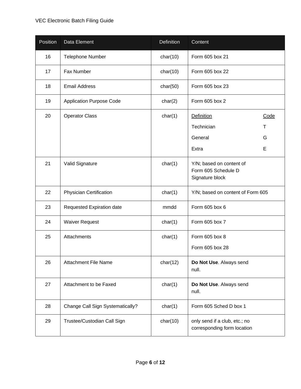#### VEC Electronic Batch Filing Guide

| Position | Data Element                     | Definition | Content                                                            |  |
|----------|----------------------------------|------------|--------------------------------------------------------------------|--|
| 16       | <b>Telephone Number</b>          | char(10)   | Form 605 box 21                                                    |  |
| 17       | Fax Number                       | char(10)   | Form 605 box 22                                                    |  |
| 18       | <b>Email Address</b>             | char(50)   | Form 605 box 23                                                    |  |
| 19       | <b>Application Purpose Code</b>  | char(2)    | Form 605 box 2                                                     |  |
| 20       | <b>Operator Class</b>            | char(1)    | <b>Definition</b><br>Code                                          |  |
|          |                                  |            | Technician<br>Т                                                    |  |
|          |                                  |            | General<br>G                                                       |  |
|          |                                  |            | E<br>Extra                                                         |  |
| 21       | Valid Signature                  | char(1)    | Y/N; based on content of<br>Form 605 Schedule D<br>Signature block |  |
| 22       | <b>Physician Certification</b>   | char(1)    | Y/N; based on content of Form 605                                  |  |
| 23       | Requested Expiration date        | mmdd       | Form 605 box 6                                                     |  |
| 24       | <b>Waiver Request</b>            | char(1)    | Form 605 box 7                                                     |  |
| 25       | Attachments                      | char(1)    | Form 605 box 8                                                     |  |
|          |                                  |            | Form 605 box 28                                                    |  |
| 26       | <b>Attachment File Name</b>      | char(12)   | Do Not Use. Always send<br>null.                                   |  |
| 27       | Attachment to be Faxed           | char(1)    | Do Not Use. Always send<br>null.                                   |  |
| 28       | Change Call Sign Systematically? | char(1)    | Form 605 Sched D box 1                                             |  |
| 29       | Trustee/Custodian Call Sign      | char(10)   | only send if a club, etc.; no<br>corresponding form location       |  |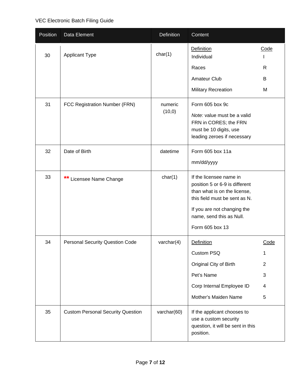| Position | Data Element                             | Definition         | Content                                                                                                                                                                                                  |                |
|----------|------------------------------------------|--------------------|----------------------------------------------------------------------------------------------------------------------------------------------------------------------------------------------------------|----------------|
| 30       | <b>Applicant Type</b>                    | char(1)            | <b>Definition</b><br>Individual                                                                                                                                                                          | Code           |
|          |                                          |                    | Races                                                                                                                                                                                                    | R              |
|          |                                          |                    | Amateur Club                                                                                                                                                                                             | B              |
|          |                                          |                    | <b>Military Recreation</b>                                                                                                                                                                               | M              |
| 31       | FCC Registration Number (FRN)            | numeric<br>(10, 0) | Form 605 box 9c<br>Note: value must be a valid<br>FRN in CORES; the FRN<br>must be 10 digits, use<br>leading zeroes if necessary                                                                         |                |
| 32       | Date of Birth                            | datetime           | Form 605 box 11a<br>mm/dd/yyyy                                                                                                                                                                           |                |
| 33       | $***$<br>Licensee Name Change            | char(1)            | If the licensee name in<br>position 5 or 6-9 is different<br>than what is on the license,<br>this field must be sent as N.<br>If you are not changing the<br>name, send this as Null.<br>Form 605 box 13 |                |
| 34       | <b>Personal Security Question Code</b>   | varchar $(4)$      | <b>Definition</b>                                                                                                                                                                                        | Code           |
|          |                                          |                    | Custom PSQ                                                                                                                                                                                               | 1              |
|          |                                          |                    | Original City of Birth                                                                                                                                                                                   | $\overline{2}$ |
|          |                                          |                    | Pet's Name                                                                                                                                                                                               | 3              |
|          |                                          |                    | Corp Internal Employee ID                                                                                                                                                                                | 4              |
|          |                                          |                    | Mother's Maiden Name                                                                                                                                                                                     | 5              |
| 35       | <b>Custom Personal Security Question</b> | varchar(60)        | If the applicant chooses to<br>use a custom security<br>question, it will be sent in this<br>position.                                                                                                   |                |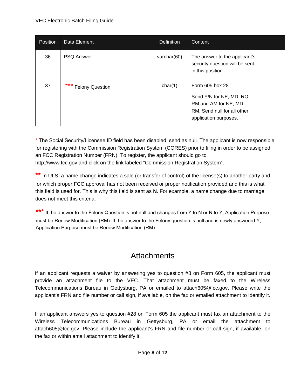#### VEC Electronic Batch Filing Guide

| <b>Position</b> | Data Element        | <b>Definition</b> | Content                                                                                                                      |
|-----------------|---------------------|-------------------|------------------------------------------------------------------------------------------------------------------------------|
| 36              | <b>PSQ Answer</b>   | varchar $(60)$    | The answer to the applicant's<br>security question will be sent<br>in this position.                                         |
| 37              | *** Felony Question | char(1)           | Form 605 box 28<br>Send Y/N for NE, MD, RO,<br>RM and AM for NE, MD,<br>RM. Send null for all other<br>application purposes. |

\* The Social Security/Licensee ID field has been disabled, send as null. The applicant is now responsible for registering with the Commission Registration System (CORES) prior to filing in order to be assigned an FCC Registration Number (FRN). To register, the applicant should go to http://www.fcc.gov and click on the link labeled "Commission Registration System".

\*\* In ULS, a name change indicates a sale (or transfer of control) of the license(s) to another party and for which proper FCC approval has not been received or proper notification provided and this is what this field is used for. This is why this field is sent as **N**. For example, a name change due to marriage does not meet this criteria.

**\*\*\*** If the answer to the Felony Question is not null and changes from Y to N or N to Y, Application Purpose must be Renew Modification (RM). If the answer to the Felony question is null and is newly answered Y, Application Purpose must be Renew Modification (RM).

#### **Attachments**

If an applicant requests a waiver by answering yes to question #8 on Form 605, the applicant must provide an attachment file to the VEC. That attachment must be faxed to the Wireless Telecommunications Bureau in Gettysburg, PA or emailed to attach605@fcc.gov. Please write the applicant's FRN and file number or call sign, if available, on the fax or emailed attachment to identify it.

If an applicant answers yes to question #28 on Form 605 the applicant must fax an attachment to the Wireless Telecommunications Bureau in Gettysburg, PA or email the attachment to attach605@fcc.gov. Please include the applicant's FRN and file number or call sign, if available, on the fax or within email attachment to identify it.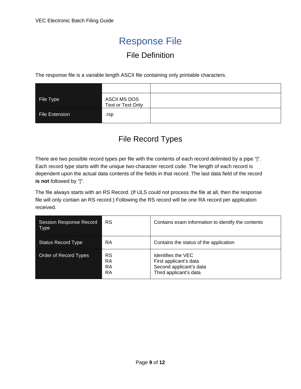## Response File

#### File Definition

The response file is a variable length ASCII file containing only printable characters.

| File Type      | <b>ASCII MS DOS</b><br>Text or Text Only |  |
|----------------|------------------------------------------|--|
| File Extension | .rsp                                     |  |

#### File Record Types

There are two possible record types per file with the contents of each record delimited by a pipe "|". Each record type starts with the unique two-character record code. The length of each record is dependent upon the actual data contents of the fields in that record. The last data field of the record **is not** followed by "|".

The file always starts with an RS Record. (If ULS could not process the file at all, then the response file will only contain an RS record.) Following the RS record will be one RA record per application received.

| <b>Session Response Record</b><br>Type | <b>RS</b>                   | Contains exam information to identify the contents                                                |
|----------------------------------------|-----------------------------|---------------------------------------------------------------------------------------------------|
| <b>Status Record Type</b>              | RA                          | Contains the status of the application                                                            |
| Order of Record Types                  | RS<br>RA<br><b>RA</b><br>RA | Identifies the VEC<br>First applicant's data<br>Second applicant's data<br>Third applicant's data |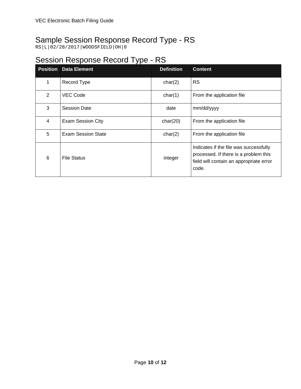#### Sample Session Response Record Type - RS

RS|L|02/28/2017|WOODSFIELD|OH|0

#### Session Response Record Type - RS

|                | <b>Position Data Element</b> | <b>Definition</b> | <b>Content</b>                                                                                                                      |
|----------------|------------------------------|-------------------|-------------------------------------------------------------------------------------------------------------------------------------|
| 1              | Record Type                  | char(2)           | <b>RS</b>                                                                                                                           |
| 2              | <b>VEC Code</b>              | char(1)           | From the application file                                                                                                           |
| 3              | <b>Session Date</b>          | date              | mm/dd/yyyy                                                                                                                          |
| $\overline{4}$ | <b>Exam Session City</b>     | char(20)          | From the application file                                                                                                           |
| 5              | <b>Exam Session State</b>    | char(2)           | From the application file                                                                                                           |
| 6              | File Status                  | integer           | Indicates if the file was successfully<br>processed. If there is a problem this<br>field will contain an appropriate error<br>code. |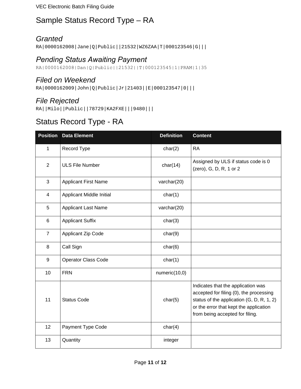VEC Electronic Batch Filing Guide

#### Sample Status Record Type – RA

#### *Granted*

RA|0000162008|Jane|Q|Public||21532|WZ6ZAA|T|000123546|G|||

#### *Pending Status Awaiting Payment*

RA|0000162008|Dan|Q|Public||21532||T|000123545|1|PRAM|1|35

#### *Filed on Weekend*

RA|0000162009|John|Q|Public|Jr|21403||E|000123547|0|||

#### *File Rejected*

RA||Milo||Public||78729|KA2FXE|||9480|||

## Status Record Type - RA

|                | <b>Position</b> Data Element | <b>Definition</b> | <b>Content</b>                                                                                                                                                                                          |
|----------------|------------------------------|-------------------|---------------------------------------------------------------------------------------------------------------------------------------------------------------------------------------------------------|
| $\mathbf{1}$   | Record Type                  | char(2)           | <b>RA</b>                                                                                                                                                                                               |
| $\overline{2}$ | <b>ULS File Number</b>       | char(14)          | Assigned by ULS if status code is 0<br>(zero), G, D, R, 1 or 2                                                                                                                                          |
| 3              | <b>Applicant First Name</b>  | varchar(20)       |                                                                                                                                                                                                         |
| $\overline{4}$ | Applicant Middle Initial     | char(1)           |                                                                                                                                                                                                         |
| 5              | <b>Applicant Last Name</b>   | varchar(20)       |                                                                                                                                                                                                         |
| 6              | <b>Applicant Suffix</b>      | char(3)           |                                                                                                                                                                                                         |
| $\overline{7}$ | <b>Applicant Zip Code</b>    | char(9)           |                                                                                                                                                                                                         |
| 8              | Call Sign                    | char(6)           |                                                                                                                                                                                                         |
| 9              | <b>Operator Class Code</b>   | char(1)           |                                                                                                                                                                                                         |
| 10             | <b>FRN</b>                   | numeric(10,0)     |                                                                                                                                                                                                         |
| 11             | <b>Status Code</b>           | char(5)           | Indicates that the application was<br>accepted for filing (0), the processing<br>status of the application (G, D, R, 1, 2)<br>or the error that kept the application<br>from being accepted for filing. |
| 12             | Payment Type Code            | char(4)           |                                                                                                                                                                                                         |
| 13             | Quantity                     | integer           |                                                                                                                                                                                                         |